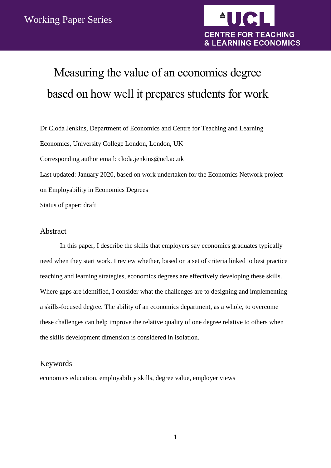

# Measuring the value of an economics degree based on how well it prepares students for work

Dr Cloda Jenkins, Department of Economics and Centre for Teaching and Learning Economics, University College London, London, UK Corresponding author email: cloda.jenkins@ucl.ac.uk Last updated: January 2020, based on work undertaken for the Economics Network project on Employability in Economics Degrees Status of paper: draft

### <span id="page-0-0"></span>Abstract

In this paper, I describe the skills that employers say economics graduates typically need when they start work. I review whether, based on a set of criteria linked to best practice teaching and learning strategies, economics degrees are effectively developing these skills. Where gaps are identified, I consider what the challenges are to designing and implementing a skills-focused degree. The ability of an economics department, as a whole, to overcome these challenges can help improve the relative quality of one degree relative to others when the skills development dimension is considered in isolation.

# <span id="page-0-1"></span>Keywords

economics education, employability skills, degree value, employer views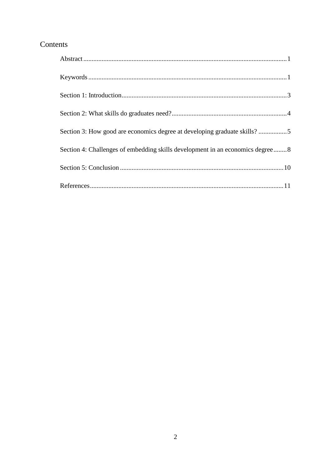# Contents

| Section 3: How good are economics degree at developing graduate skills? 5     |
|-------------------------------------------------------------------------------|
| Section 4: Challenges of embedding skills development in an economics degree8 |
|                                                                               |
|                                                                               |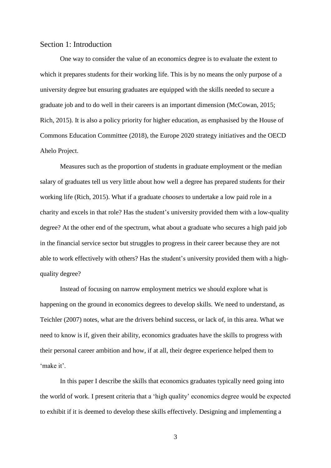#### <span id="page-2-0"></span>Section 1: Introduction

One way to consider the value of an economics degree is to evaluate the extent to which it prepares students for their working life. This is by no means the only purpose of a university degree but ensuring graduates are equipped with the skills needed to secure a graduate job and to do well in their careers is an important dimension (McCowan, 2015; Rich, 2015). It is also a policy priority for higher education, as emphasised by the House of Commons Education Committee (2018), the Europe 2020 strategy initiatives and the OECD Ahelo Project.

Measures such as the proportion of students in graduate employment or the median salary of graduates tell us very little about how well a degree has prepared students for their working life (Rich, 2015). What if a graduate *chooses* to undertake a low paid role in a charity and excels in that role? Has the student's university provided them with a low-quality degree? At the other end of the spectrum, what about a graduate who secures a high paid job in the financial service sector but struggles to progress in their career because they are not able to work effectively with others? Has the student's university provided them with a highquality degree?

Instead of focusing on narrow employment metrics we should explore what is happening on the ground in economics degrees to develop skills. We need to understand, as Teichler (2007) notes, what are the drivers behind success, or lack of, in this area. What we need to know is if, given their ability, economics graduates have the skills to progress with their personal career ambition and how, if at all, their degree experience helped them to 'make it'.

In this paper I describe the skills that economics graduates typically need going into the world of work. I present criteria that a 'high quality' economics degree would be expected to exhibit if it is deemed to develop these skills effectively. Designing and implementing a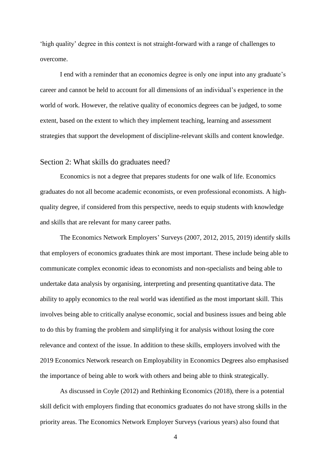'high quality' degree in this context is not straight-forward with a range of challenges to overcome.

I end with a reminder that an economics degree is only one input into any graduate's career and cannot be held to account for all dimensions of an individual's experience in the world of work. However, the relative quality of economics degrees can be judged, to some extent, based on the extent to which they implement teaching, learning and assessment strategies that support the development of discipline-relevant skills and content knowledge.

#### <span id="page-3-0"></span>Section 2: What skills do graduates need?

Economics is not a degree that prepares students for one walk of life. Economics graduates do not all become academic economists, or even professional economists. A highquality degree, if considered from this perspective, needs to equip students with knowledge and skills that are relevant for many career paths.

The Economics Network Employers' Surveys (2007, 2012, 2015, 2019) identify skills that employers of economics graduates think are most important. These include being able to communicate complex economic ideas to economists and non-specialists and being able to undertake data analysis by organising, interpreting and presenting quantitative data. The ability to apply economics to the real world was identified as the most important skill. This involves being able to critically analyse economic, social and business issues and being able to do this by framing the problem and simplifying it for analysis without losing the core relevance and context of the issue. In addition to these skills, employers involved with the 2019 Economics Network research on Employability in Economics Degrees also emphasised the importance of being able to work with others and being able to think strategically.

As discussed in Coyle (2012) and Rethinking Economics (2018), there is a potential skill deficit with employers finding that economics graduates do not have strong skills in the priority areas. The Economics Network Employer Surveys (various years) also found that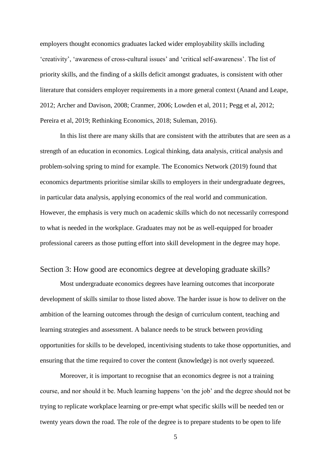employers thought economics graduates lacked wider employability skills including 'creativity', 'awareness of cross-cultural issues' and 'critical self-awareness'. The list of priority skills, and the finding of a skills deficit amongst graduates, is consistent with other literature that considers employer requirements in a more general context (Anand and Leape, 2012; Archer and Davison, 2008; Cranmer, 2006; Lowden et al, 2011; Pegg et al, 2012; Pereira et al, 2019; Rethinking Economics, 2018; Suleman, 2016).

In this list there are many skills that are consistent with the attributes that are seen as a strength of an education in economics. Logical thinking, data analysis, critical analysis and problem-solving spring to mind for example. The Economics Network (2019) found that economics departments prioritise similar skills to employers in their undergraduate degrees, in particular data analysis, applying economics of the real world and communication. However, the emphasis is very much on academic skills which do not necessarily correspond to what is needed in the workplace. Graduates may not be as well-equipped for broader professional careers as those putting effort into skill development in the degree may hope.

#### <span id="page-4-0"></span>Section 3: How good are economics degree at developing graduate skills?

Most undergraduate economics degrees have learning outcomes that incorporate development of skills similar to those listed above. The harder issue is how to deliver on the ambition of the learning outcomes through the design of curriculum content, teaching and learning strategies and assessment. A balance needs to be struck between providing opportunities for skills to be developed, incentivising students to take those opportunities, and ensuring that the time required to cover the content (knowledge) is not overly squeezed.

Moreover, it is important to recognise that an economics degree is not a training course, and nor should it be. Much learning happens 'on the job' and the degree should not be trying to replicate workplace learning or pre-empt what specific skills will be needed ten or twenty years down the road. The role of the degree is to prepare students to be open to life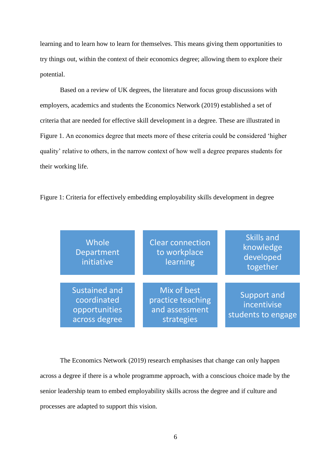learning and to learn how to learn for themselves. This means giving them opportunities to try things out, within the context of their economics degree; allowing them to explore their potential.

Based on a review of UK degrees, the literature and focus group discussions with employers, academics and students the Economics Network (2019) established a set of criteria that are needed for effective skill development in a degree. These are illustrated in Figure 1. An economics degree that meets more of these criteria could be considered 'higher quality' relative to others, in the narrow context of how well a degree prepares students for their working life.

Figure 1: Criteria for effectively embedding employability skills development in degree

| Whole<br>Department<br>initiative                                     | <b>Clear connection</b><br>to workplace<br>learning              | <b>Skills and</b><br>knowledge<br>developed<br>together |
|-----------------------------------------------------------------------|------------------------------------------------------------------|---------------------------------------------------------|
| <b>Sustained and</b><br>coordinated<br>opportunities<br>across degree | Mix of best<br>practice teaching<br>and assessment<br>strategies | <b>Support and</b><br>incentivise<br>students to engage |

The Economics Network (2019) research emphasises that change can only happen across a degree if there is a whole programme approach, with a conscious choice made by the senior leadership team to embed employability skills across the degree and if culture and processes are adapted to support this vision.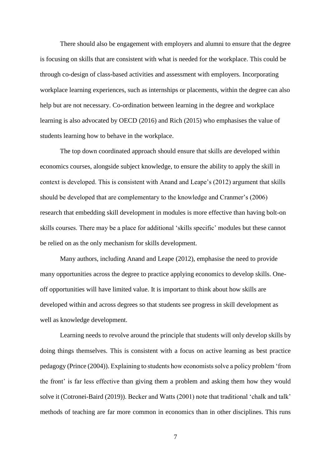There should also be engagement with employers and alumni to ensure that the degree is focusing on skills that are consistent with what is needed for the workplace. This could be through co-design of class-based activities and assessment with employers. Incorporating workplace learning experiences, such as internships or placements, within the degree can also help but are not necessary. Co-ordination between learning in the degree and workplace learning is also advocated by OECD (2016) and Rich (2015) who emphasises the value of students learning how to behave in the workplace.

The top down coordinated approach should ensure that skills are developed within economics courses, alongside subject knowledge, to ensure the ability to apply the skill in context is developed. This is consistent with Anand and Leape's (2012) argument that skills should be developed that are complementary to the knowledge and Cranmer's (2006) research that embedding skill development in modules is more effective than having bolt-on skills courses. There may be a place for additional 'skills specific' modules but these cannot be relied on as the only mechanism for skills development.

Many authors, including Anand and Leape (2012), emphasise the need to provide many opportunities across the degree to practice applying economics to develop skills. Oneoff opportunities will have limited value. It is important to think about how skills are developed within and across degrees so that students see progress in skill development as well as knowledge development.

Learning needs to revolve around the principle that students will only develop skills by doing things themselves. This is consistent with a focus on active learning as best practice pedagogy (Prince (2004)). Explaining to students how economists solve a policy problem 'from the front' is far less effective than giving them a problem and asking them how they would solve it (Cotronei-Baird (2019)). Becker and Watts (2001) note that traditional 'chalk and talk' methods of teaching are far more common in economics than in other disciplines. This runs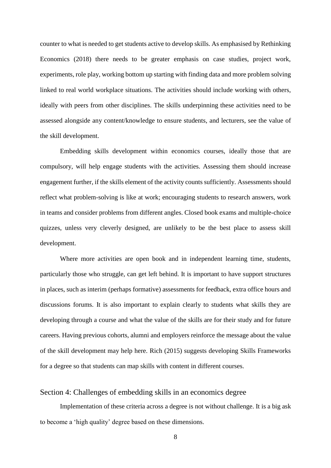counter to what is needed to get students active to develop skills. As emphasised by Rethinking Economics (2018) there needs to be greater emphasis on case studies, project work, experiments, role play, working bottom up starting with finding data and more problem solving linked to real world workplace situations. The activities should include working with others, ideally with peers from other disciplines. The skills underpinning these activities need to be assessed alongside any content/knowledge to ensure students, and lecturers, see the value of the skill development.

Embedding skills development within economics courses, ideally those that are compulsory, will help engage students with the activities. Assessing them should increase engagement further, if the skills element of the activity counts sufficiently. Assessments should reflect what problem-solving is like at work; encouraging students to research answers, work in teams and consider problems from different angles. Closed book exams and multiple-choice quizzes, unless very cleverly designed, are unlikely to be the best place to assess skill development.

Where more activities are open book and in independent learning time, students, particularly those who struggle, can get left behind. It is important to have support structures in places, such as interim (perhaps formative) assessments for feedback, extra office hours and discussions forums. It is also important to explain clearly to students what skills they are developing through a course and what the value of the skills are for their study and for future careers. Having previous cohorts, alumni and employers reinforce the message about the value of the skill development may help here. Rich (2015) suggests developing Skills Frameworks for a degree so that students can map skills with content in different courses.

# <span id="page-7-0"></span>Section 4: Challenges of embedding skills in an economics degree

Implementation of these criteria across a degree is not without challenge. It is a big ask to become a 'high quality' degree based on these dimensions.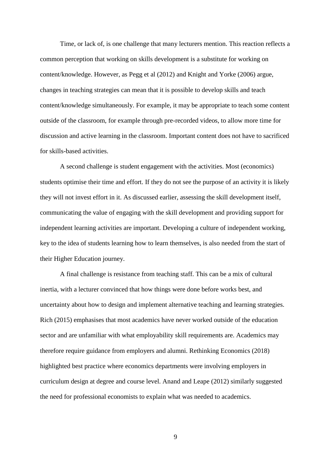Time, or lack of, is one challenge that many lecturers mention. This reaction reflects a common perception that working on skills development is a substitute for working on content/knowledge. However, as Pegg et al (2012) and Knight and Yorke (2006) argue, changes in teaching strategies can mean that it is possible to develop skills and teach content/knowledge simultaneously. For example, it may be appropriate to teach some content outside of the classroom, for example through pre-recorded videos, to allow more time for discussion and active learning in the classroom. Important content does not have to sacrificed for skills-based activities.

A second challenge is student engagement with the activities. Most (economics) students optimise their time and effort. If they do not see the purpose of an activity it is likely they will not invest effort in it. As discussed earlier, assessing the skill development itself, communicating the value of engaging with the skill development and providing support for independent learning activities are important. Developing a culture of independent working, key to the idea of students learning how to learn themselves, is also needed from the start of their Higher Education journey.

A final challenge is resistance from teaching staff. This can be a mix of cultural inertia, with a lecturer convinced that how things were done before works best, and uncertainty about how to design and implement alternative teaching and learning strategies. Rich (2015) emphasises that most academics have never worked outside of the education sector and are unfamiliar with what employability skill requirements are. Academics may therefore require guidance from employers and alumni. Rethinking Economics (2018) highlighted best practice where economics departments were involving employers in curriculum design at degree and course level. Anand and Leape (2012) similarly suggested the need for professional economists to explain what was needed to academics.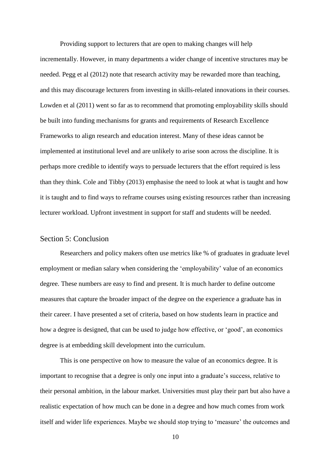Providing support to lecturers that are open to making changes will help incrementally. However, in many departments a wider change of incentive structures may be needed. Pegg et al (2012) note that research activity may be rewarded more than teaching, and this may discourage lecturers from investing in skills-related innovations in their courses. Lowden et al (2011) went so far as to recommend that promoting employability skills should be built into funding mechanisms for grants and requirements of Research Excellence Frameworks to align research and education interest. Many of these ideas cannot be implemented at institutional level and are unlikely to arise soon across the discipline. It is perhaps more credible to identify ways to persuade lecturers that the effort required is less than they think. Cole and Tibby (2013) emphasise the need to look at what is taught and how it is taught and to find ways to reframe courses using existing resources rather than increasing lecturer workload. Upfront investment in support for staff and students will be needed.

#### <span id="page-9-0"></span>Section 5: Conclusion

Researchers and policy makers often use metrics like % of graduates in graduate level employment or median salary when considering the 'employability' value of an economics degree. These numbers are easy to find and present. It is much harder to define outcome measures that capture the broader impact of the degree on the experience a graduate has in their career. I have presented a set of criteria, based on how students learn in practice and how a degree is designed, that can be used to judge how effective, or 'good', an economics degree is at embedding skill development into the curriculum.

This is one perspective on how to measure the value of an economics degree. It is important to recognise that a degree is only one input into a graduate's success, relative to their personal ambition, in the labour market. Universities must play their part but also have a realistic expectation of how much can be done in a degree and how much comes from work itself and wider life experiences. Maybe we should stop trying to 'measure' the outcomes and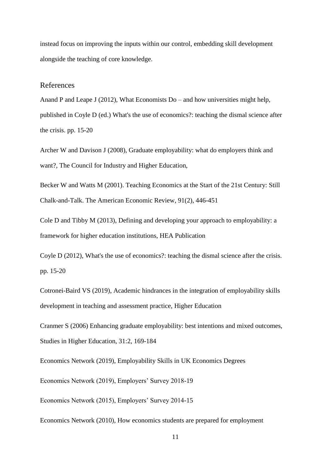instead focus on improving the inputs within our control, embedding skill development alongside the teaching of core knowledge.

#### <span id="page-10-0"></span>References

Anand P and Leape J (2012), What Economists Do – and how universities might help, published in Coyle D (ed.) What's the use of economics?: teaching the dismal science after the crisis. pp. 15-20

Archer W and Davison J (2008), Graduate employability: what do employers think and want?, The Council for Industry and Higher Education,

Becker W and Watts M (2001). Teaching Economics at the Start of the 21st Century: Still Chalk-and-Talk. The American Economic Review, 91(2), 446-451

Cole D and Tibby M (2013), Defining and developing your approach to employability: a framework for higher education institutions, HEA Publication

Coyle D (2012), What's the use of economics?: teaching the dismal science after the crisis. pp. 15-20

Cotronei-Baird VS (2019), Academic hindrances in the integration of employability skills development in teaching and assessment practice, Higher Education

Cranmer S (2006) Enhancing graduate employability: best intentions and mixed outcomes, Studies in Higher Education, 31:2, 169-184

Economics Network (2019), Employability Skills in UK Economics Degrees

Economics Network (2019), Employers' Survey 2018-19

Economics Network (2015), Employers' Survey 2014-15

Economics Network (2010), How economics students are prepared for employment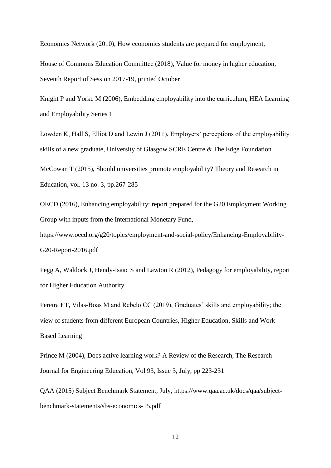Economics Network (2010), How economics students are prepared for employment,

House of Commons Education Committee (2018), Value for money in higher education, Seventh Report of Session 2017-19, printed October

Knight P and Yorke M (2006), Embedding employability into the curriculum, HEA Learning and Employability Series 1

Lowden K, Hall S, Elliot D and Lewin J (2011), Employers' perceptions of the employability skills of a new graduate, University of Glasgow SCRE Centre & The Edge Foundation

McCowan T (2015), Should universities promote employability? Theory and Research in Education, vol. 13 no. 3, pp.267-285

OECD (2016), Enhancing employability: report prepared for the G20 Employment Working Group with inputs from the International Monetary Fund,

[https://www.oecd.org/g20/topics/employment-and-social-policy/Enhancing-Employability-](https://www.oecd.org/g20/topics/employment-and-social-policy/Enhancing-Employability-G20-Report-2016.pdf)[G20-Report-2016.pdf](https://www.oecd.org/g20/topics/employment-and-social-policy/Enhancing-Employability-G20-Report-2016.pdf) 

Pegg A, Waldock J, Hendy-Isaac S and Lawton R (2012), Pedagogy for employability, report for Higher Education Authority

Pereira ET, Vilas-Boas M and Rebelo CC (2019), Graduates' skills and employability; the view of students from different European Countries, [Higher Education, Skills and Work-](https://www.emerald.com/insight/publication/issn/2042-3896)[Based Learning](https://www.emerald.com/insight/publication/issn/2042-3896)

Prince M (2004), Does active learning work? A Review of the Research, The Research Journal for Engineering Education, Vol 93, Issue 3, July, pp 223-231

QAA (2015) Subject Benchmark Statement, July, [https://www.qaa.ac.uk/docs/qaa/subject](https://eur01.safelinks.protection.outlook.com/?url=https%3A%2F%2Fwww.qaa.ac.uk%2Fdocs%2Fqaa%2Fsubject-benchmark-statements%2Fsbs-economics-15.pdf&data=02%7C01%7C%7C2391fe2048b042bab85c08d6f40de002%7C1faf88fea9984c5b93c9210a11d9a5c2%7C0%7C0%7C636964737764512016&sdata=RP0gTsuYr6DisQ9F9EvI3tG1WntxRm3ejvUBHZUoYH0%3D&reserved=0)[benchmark-statements/sbs-economics-15.pdf](https://eur01.safelinks.protection.outlook.com/?url=https%3A%2F%2Fwww.qaa.ac.uk%2Fdocs%2Fqaa%2Fsubject-benchmark-statements%2Fsbs-economics-15.pdf&data=02%7C01%7C%7C2391fe2048b042bab85c08d6f40de002%7C1faf88fea9984c5b93c9210a11d9a5c2%7C0%7C0%7C636964737764512016&sdata=RP0gTsuYr6DisQ9F9EvI3tG1WntxRm3ejvUBHZUoYH0%3D&reserved=0)